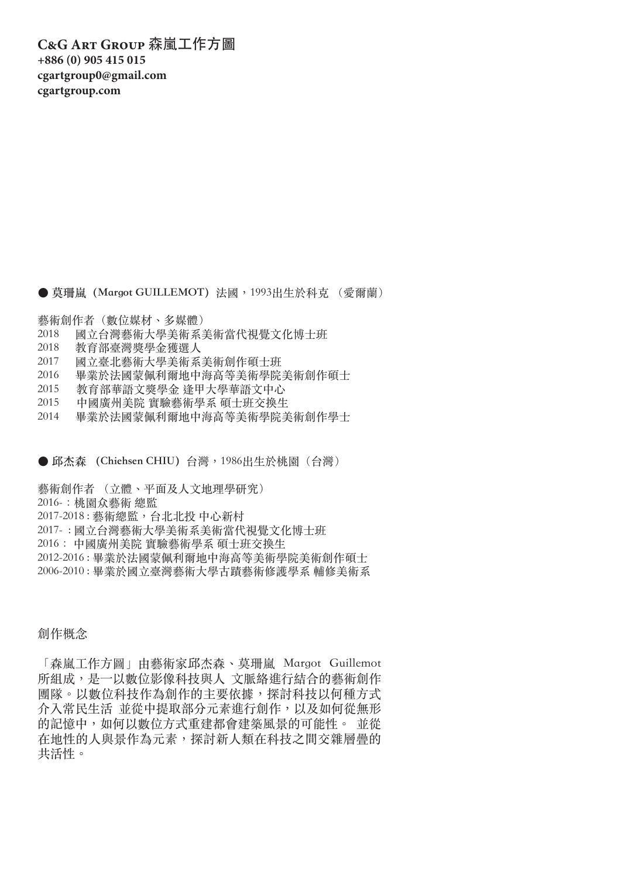**C&G Art Group** 森嵐工作方圖 **+886 (0) 905 415 015 cgartgroup0@gmail.com cgartgroup.com**

● 莫珊嵐 (Margot GUILLEMOT) 法國, 1993出生於科克 (愛爾蘭)

藝術創作者(數位媒材、多媒體)

- 2018 國立台灣藝術大學美術系美術當代視覺文化博士班
- 2018 教育部臺灣獎學金獲選人
- 2017 國立臺北藝術大學美術系美術創作碩士班
- 2016 畢業於法國蒙佩利爾地中海高等美術學院美術創作碩士
- 2015 教育部華語文獎學金 逢甲大學華語文中心
- 2015 中國廣州美院 實驗藝術學系 碩士班交換生
- 2014 畢業於法國蒙佩利爾地中海高等美術學院美術創作學士

● 邱杰森 (Chiehsen CHIU) 台灣, 1986出生於桃園(台灣)

藝術創作者 (立體、平面及人文地理學研究) 2016-Ꟃ桃園众藝術 總監 2017-2018 : 藝術總監Ꟁ台北北投 中心新村 2017- : 國立台灣藝術大學美術系美術當代視覺文化博士班 2016Ꟃ 中國廣州美院 實驗藝術學系 碩士班交換生 2012-2016 : 畢業於法國蒙佩利爾地中海高等美術學院美術創作碩士 2006-2010 : 畢業於國立臺灣藝術大學古蹟藝術修護學系 輔修美術系

## 創作概念

「森嵐工作方圖」由藝術家邱杰森、莫珊嵐 Margot Guillemot 所組成,是一以數位影像科技與人 文脈絡進行結合的藝術創作 團隊。以數位科技作為創作的主要依據,探討科技以何種方式 介入常民生活 並從中提取部分元素進行創作,以及如何從無形 的記憶中, 如何以數位方式重建都會建築風景的可能性。 並從 在地性的人與景作為元素,探討新人類在科技之間交雜層疊的 共活性。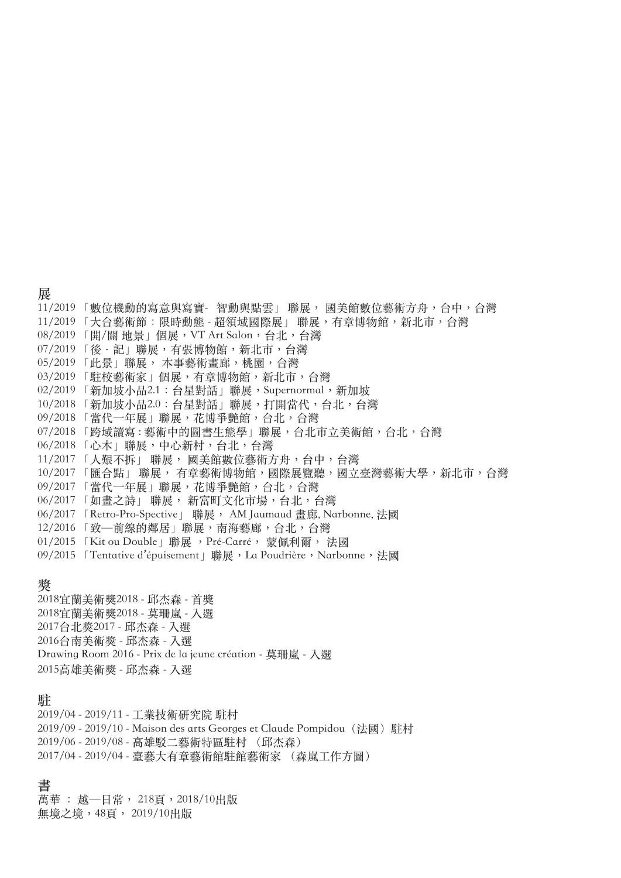#### **展**

11/2019 「數位機動的寫意與寫實- 智動與點雲」 聯展, 國美館數位藝術方舟, 台中, 台灣 11/2019 「大台藝術節:限時動熊 - 超領域國際展」 聯展,有章博物館,新北市,台灣 08/2019 「開/關 地景」個展, VT Art Salon, 台北, 台灣 07/2019 「後·記」聯展,有張博物館,新北市,台灣 05/2019 「此景」聯展, 本事藝術畫廊, 桃園, 台灣 03/2019 「駐校藝術家」個展,有章博物館,新北市,台灣 02/2019 「新加坡小品2.1: 台星對話」聯展, Supernormal, 新加坡 10/2018「新加坡小品2.0:台星對話」聯展,打開當代,台北,台灣 09/2018 「當代一年展」聯展, 花博爭艷館, 台北, 台灣 07/2018 「跨域讀寫: 藝術中的圖書生態學」聯展, 台北市立美術館, 台北, 台灣 06/2018 「心木」聯展,中心新村,台北,台灣 11/2017 「人艱不拆」 聯展, 國美館數位藝術方舟, 台中, 台灣 10/2017 「匯合點」聯展, 有章藝術博物館, 國際展覽聽, 國立臺灣藝術大學, 新北市, 台灣 09/2017 「當代一年展」聯展,花博爭艷館,台北,台灣 06/2017 「如畫之詩」 聯展, 新富町文化市場, 台北, 台灣 06/2017 「Retro-Pro-Spective」 聯展, AM Jaumaud 畫廊, Narbonne, 法國 12/2016 「致—前線的鄰居」聯展,南海藝廊,台北,台灣 01/2015 「Kit ou Double」聯展, Pré-Carré, 蒙佩利爾, 法國

09/2015 「Tentative d'épuisement」聯展, La Poudrière, Narbonne, 法國

#### **獎**

2018宜蘭美術獎2018 - 邱杰森 - 首獎 2018宜蘭美術獎2018 - 莫珊嵐 - 入選 2017台北獎2017 - 邱杰森 - 入選 2016台南美術獎 - 邱杰森 - 入選 Drawing Room 2016 - Prix de la jeune création - 莫珊嵐 - 入選 2015高雄美術獎 - 邱杰森 - 入選

#### **駐**

2019/04 - 2019/11 - 工業技術研究院 駐村 2019/09 - 2019/10 - Maison des arts Georges et Claude Pompidou (法國) 駐村 2019/06 - 2019/08 - 高雄駁二藝術特區駐村 (邱杰森) 2017/04 - 2019/04 - 臺藝大有章藝術館駐館藝術家 (森嵐工作方圖)

## **書**

萬華 : 越 一 日 常 , 218頁 , 2018/10出版 無境之境, 48頁, 2019/10出版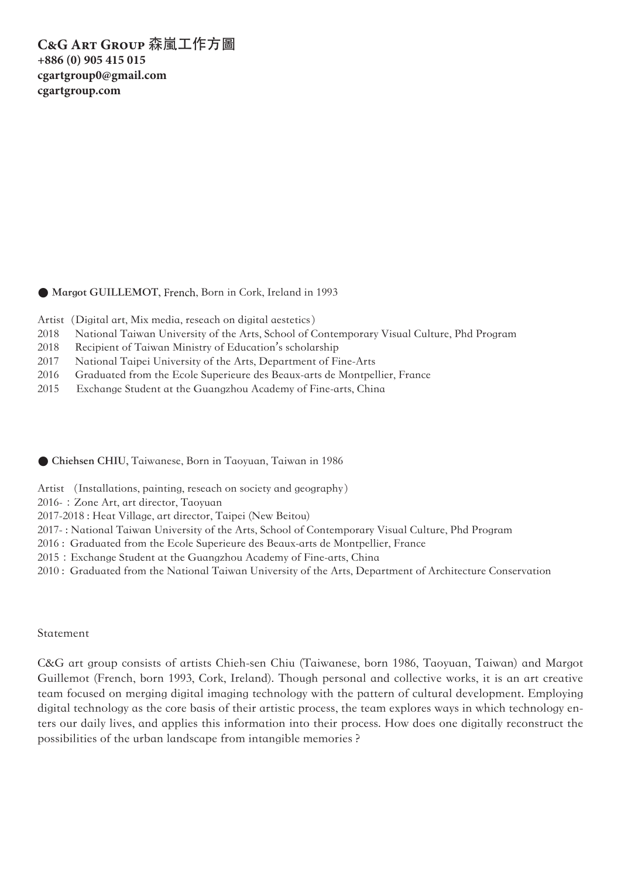# **C&G Art Group** 森嵐工作方圖 **+886 (0) 905 415 015 cgartgroup0@gmail.com cgartgroup.com**

● Margot GUILLEMOT, French, Born in Cork, Ireland in 1993

- Artist (Digital art, Mix media, reseach on digital aestetics)
- 2018 National Taiwan University of the Arts, School of Contemporary Visual Culture, Phd Program
- 2018 Recipient of Taiwan Ministry of Education's scholarship
- 2017 National Taipei University of the Arts, Department of Fine-Arts
- 2016 Graduated from the Ecole Superieure des Beaux-arts de Montpellier, France
- 2015 Exchange Student at the Guangzhou Academy of Fine-arts, China

**● Chiehsen CHIU,** Taiwanese, Born in Taoyuan, Taiwan in 1986

Artist (Installations, painting, reseach on society and geography)

2016-: Zone Art, art director, Taoyuan

2017-2018 : Heat Village, art director, Taipei (New Beitou)

2017- : National Taiwan University of the Arts, School of Contemporary Visual Culture, Phd Program

2016 : Graduated from the Ecole Superieure des Beaux-arts de Montpellier, France

2015 : Exchange Student at the Guangzhou Academy of Fine-arts, China

2010 : Graduated from the National Taiwan University of the Arts, Department of Architecture Conservation

## Statement

C&G art group consists of artists Chieh-sen Chiu (Taiwanese, born 1986, Taoyuan, Taiwan) and Margot Guillemot (French, born 1993, Cork, Ireland). Though personal and collective works, it is an art creative team focused on merging digital imaging technology with the pattern of cultural development. Employing digital technology as the core basis of their artistic process, the team explores ways in which technology enters our daily lives, and applies this information into their process. How does one digitally reconstruct the possibilities of the urban landscape from intangible memories ?